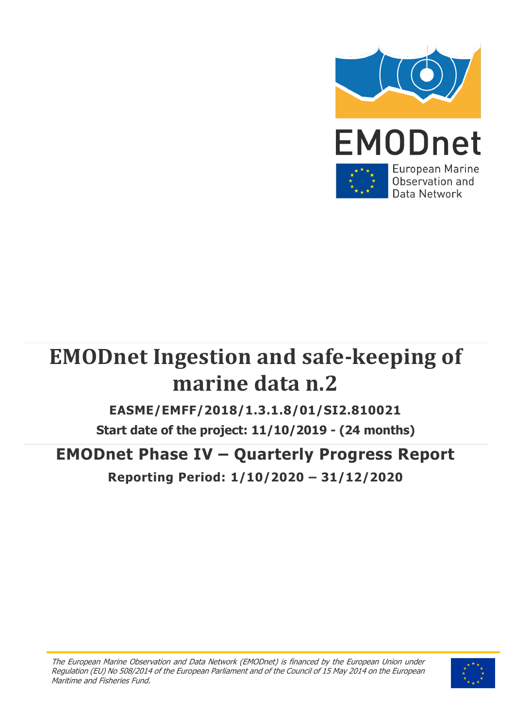

# **EMODnet Ingestion and safe-keeping of marine data n.2**

### **EASME/EMFF/2018/1.3.1.8/01/SI2.810021**

**Start date of the project: 11/10/2019 - (24 months)**

### **EMODnet Phase IV – Quarterly Progress Report**

**Reporting Period: 1/10/2020 – 31/12/2020**

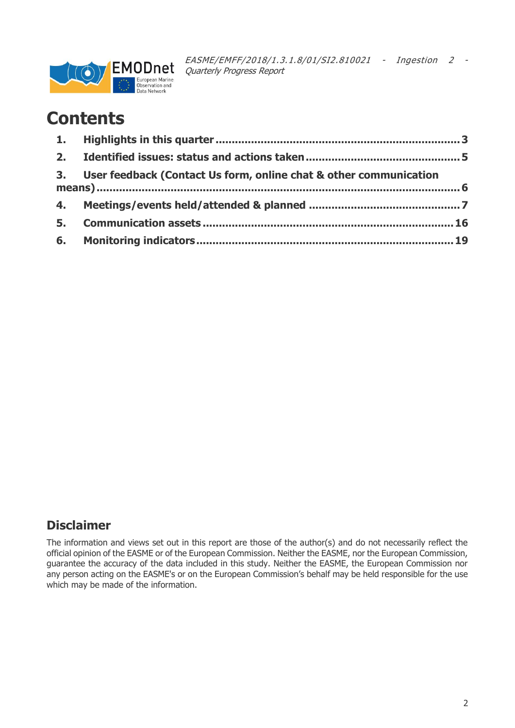

### **Contents**

| 3. User feedback (Contact Us form, online chat & other communication |  |
|----------------------------------------------------------------------|--|
|                                                                      |  |
|                                                                      |  |
|                                                                      |  |

### **Disclaimer**

The information and views set out in this report are those of the author(s) and do not necessarily reflect the official opinion of the EASME or of the European Commission. Neither the EASME, nor the European Commission, guarantee the accuracy of the data included in this study. Neither the EASME, the European Commission nor any person acting on the EASME's or on the European Commission's behalf may be held responsible for the use which may be made of the information.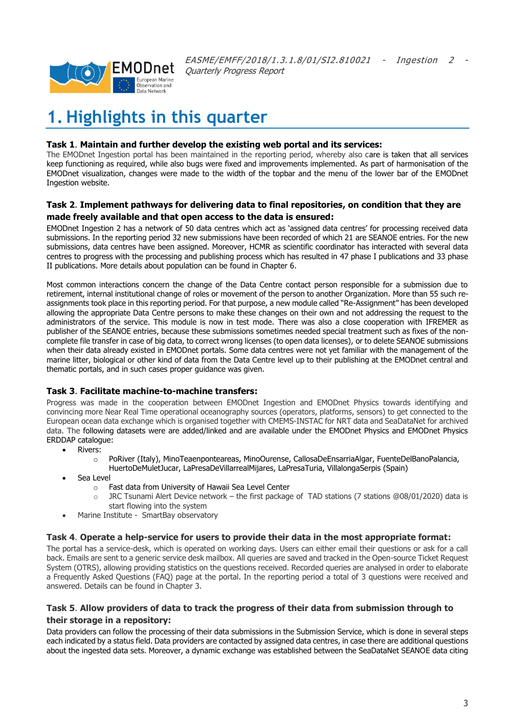

### <span id="page-2-0"></span>**1. Highlights in this quarter**

#### **Task 1**. **Maintain and further develop the existing web portal and its services:**

The EMODnet Ingestion portal has been maintained in the reporting period, whereby also care is taken that all services keep functioning as required, while also bugs were fixed and improvements implemented. As part of harmonisation of the EMODnet visualization, changes were made to the width of the topbar and the menu of the lower bar of the EMODnet Ingestion website.

#### **Task 2**. **Implement pathways for delivering data to final repositories, on condition that they are made freely available and that open access to the data is ensured:**

EMODnet Ingestion 2 has a network of 50 data centres which act as 'assigned data centres' for processing received data submissions. In the reporting period 32 new submissions have been recorded of which 21 are SEANOE entries. For the new submissions, data centres have been assigned. Moreover, HCMR as scientific coordinator has interacted with several data centres to progress with the processing and publishing process which has resulted in 47 phase I publications and 33 phase II publications. More details about population can be found in Chapter 6.

Most common interactions concern the change of the Data Centre contact person responsible for a submission due to retirement, internal institutional change of roles or movement of the person to another Organization. More than 55 such reassignments took place in this reporting period. For that purpose, a new module called "Re-Assignment" has been developed allowing the appropriate Data Centre persons to make these changes on their own and not addressing the request to the administrators of the service. This module is now in test mode. There was also a close cooperation with IFREMER as publisher of the SEANOE entries, because these submissions sometimes needed special treatment such as fixes of the noncomplete file transfer in case of big data, to correct wrong licenses (to open data licenses), or to delete SEANOE submissions when their data already existed in EMODnet portals. Some data centres were not yet familiar with the management of the marine litter, biological or other kind of data from the Data Centre level up to their publishing at the EMODnet central and thematic portals, and in such cases proper guidance was given.

#### **Task 3**. **Facilitate machine-to-machine transfers:**

Progress was made in the cooperation between EMODnet Ingestion and EMODnet Physics towards identifying and convincing more Near Real Time operational oceanography sources (operators, platforms, sensors) to get connected to the European ocean data exchange which is organised together with CMEMS-INSTAC for NRT data and SeaDataNet for archived data. The following datasets were are added/linked and are available under the EMODnet Physics and EMODnet Physics ERDDAP catalogue:

- Rivers:
	- o PoRiver (Italy), MinoTeaenponteareas, MinoOurense, CallosaDeEnsarriaAlgar, FuenteDelBanoPalancia, HuertoDeMuletJucar, LaPresaDeVillarrealMijares, LaPresaTuria, VillalongaSerpis (Spain)
- Sea Level
	- o Fast data from University of Hawaii Sea Level Center
	- o JRC Tsunami Alert Device network the first package of TAD stations (7 stations @08/01/2020) data is start flowing into the system
- Marine Institute SmartBay observatory

#### **Task 4**. **Operate a help-service for users to provide their data in the most appropriate format:**

The portal has a service-desk, which is operated on working days. Users can either email their questions or ask for a call back. Emails are sent to a generic service desk mailbox. All queries are saved and tracked in the Open-source Ticket Request System (OTRS), allowing providing statistics on the questions received. Recorded queries are analysed in order to elaborate a Frequently Asked Questions (FAQ) page at the portal. In the reporting period a total of 3 questions were received and answered. Details can be found in Chapter 3.

#### **Task 5**. **Allow providers of data to track the progress of their data from submission through to their storage in a repository:**

Data providers can follow the processing of their data submissions in the Submission Service, which is done in several steps each indicated by a status field. Data providers are contacted by assigned data centres, in case there are additional questions about the ingested data sets. Moreover, a dynamic exchange was established between the SeaDataNet SEANOE data citing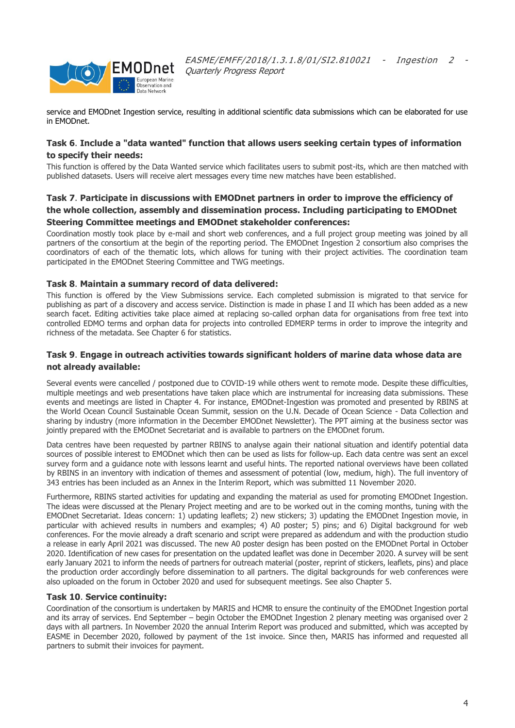

service and EMODnet Ingestion service, resulting in additional scientific data submissions which can be elaborated for use in EMODnet.

#### **Task 6**. **Include a "data wanted" function that allows users seeking certain types of information to specify their needs:**

This function is offered by the Data Wanted service which facilitates users to submit post-its, which are then matched with published datasets. Users will receive alert messages every time new matches have been established.

#### **Task 7**. **Participate in discussions with EMODnet partners in order to improve the efficiency of the whole collection, assembly and dissemination process. Including participating to EMODnet Steering Committee meetings and EMODnet stakeholder conferences:**

Coordination mostly took place by e-mail and short web conferences, and a full project group meeting was joined by all partners of the consortium at the begin of the reporting period. The EMODnet Ingestion 2 consortium also comprises the coordinators of each of the thematic lots, which allows for tuning with their project activities. The coordination team participated in the EMODnet Steering Committee and TWG meetings.

#### **Task 8**. **Maintain a summary record of data delivered:**

This function is offered by the View Submissions service. Each completed submission is migrated to that service for publishing as part of a discovery and access service. Distinction is made in phase I and II which has been added as a new search facet. Editing activities take place aimed at replacing so-called orphan data for organisations from free text into controlled EDMO terms and orphan data for projects into controlled EDMERP terms in order to improve the integrity and richness of the metadata. See Chapter 6 for statistics.

#### **Task 9**. **Engage in outreach activities towards significant holders of marine data whose data are not already available:**

Several events were cancelled / postponed due to COVID-19 while others went to remote mode. Despite these difficulties, multiple meetings and web presentations have taken place which are instrumental for increasing data submissions. These events and meetings are listed in Chapter 4. For instance, EMODnet-Ingestion was promoted and presented by RBINS at the World Ocean Council Sustainable Ocean Summit, session on the U.N. Decade of Ocean Science - Data Collection and sharing by industry (more information in the December EMODnet Newsletter). The PPT aiming at the business sector was jointly prepared with the EMODnet Secretariat and is available to partners on the EMODnet forum.

Data centres have been requested by partner RBINS to analyse again their national situation and identify potential data sources of possible interest to EMODnet which then can be used as lists for follow-up. Each data centre was sent an excel survey form and a guidance note with lessons learnt and useful hints. The reported national overviews have been collated by RBINS in an inventory with indication of themes and assessment of potential (low, medium, high). The full inventory of 343 entries has been included as an Annex in the Interim Report, which was submitted 11 November 2020.

Furthermore, RBINS started activities for updating and expanding the material as used for promoting EMODnet Ingestion. The ideas were discussed at the Plenary Project meeting and are to be worked out in the coming months, tuning with the EMODnet Secretariat. Ideas concern: 1) updating leaflets; 2) new stickers; 3) updating the EMODnet Ingestion movie, in particular with achieved results in numbers and examples; 4) A0 poster; 5) pins; and 6) Digital background for web conferences. For the movie already a draft scenario and script were prepared as addendum and with the production studio a release in early April 2021 was discussed. The new A0 poster design has been posted on the EMODnet Portal in October 2020. Identification of new cases for presentation on the updated leaflet was done in December 2020. A survey will be sent early January 2021 to inform the needs of partners for outreach material (poster, reprint of stickers, leaflets, pins) and place the production order accordingly before dissemination to all partners. The digital backgrounds for web conferences were also uploaded on the forum in October 2020 and used for subsequent meetings. See also Chapter 5.

#### **Task 10**. **Service continuity:**

Coordination of the consortium is undertaken by MARIS and HCMR to ensure the continuity of the EMODnet Ingestion portal and its array of services. End September – begin October the EMODnet Ingestion 2 plenary meeting was organised over 2 days with all partners. In November 2020 the annual Interim Report was produced and submitted, which was accepted by EASME in December 2020, followed by payment of the 1st invoice. Since then, MARIS has informed and requested all partners to submit their invoices for payment.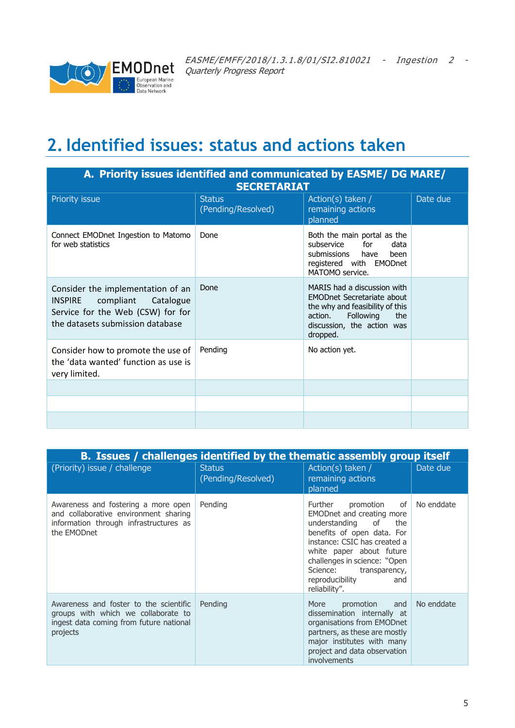

### <span id="page-4-0"></span>**2.Identified issues: status and actions taken**

| A. Priority issues identified and communicated by EASME/ DG MARE/<br><b>SECRETARIAT</b>                                                             |                                     |                                                                                                                                                                              |          |  |  |
|-----------------------------------------------------------------------------------------------------------------------------------------------------|-------------------------------------|------------------------------------------------------------------------------------------------------------------------------------------------------------------------------|----------|--|--|
| Priority issue                                                                                                                                      | <b>Status</b><br>(Pending/Resolved) | Action(s) taken /<br>remaining actions<br>planned                                                                                                                            | Date due |  |  |
| Connect EMODnet Ingestion to Matomo<br>for web statistics                                                                                           | Done                                | Both the main portal as the<br>subservice<br>for<br>data<br>submissions have<br>heen<br>registered with EMODnet<br>MATOMO service.                                           |          |  |  |
| Consider the implementation of an<br>compliant Catalogue<br><b>INSPIRE</b><br>Service for the Web (CSW) for for<br>the datasets submission database | Done                                | MARIS had a discussion with<br><b>EMODnet Secretariate about</b><br>the why and feasibility of this<br>Following<br>action.<br>the<br>discussion, the action was<br>dropped. |          |  |  |
| Consider how to promote the use of<br>the 'data wanted' function as use is<br>very limited.                                                         | Pending                             | No action yet.                                                                                                                                                               |          |  |  |
|                                                                                                                                                     |                                     |                                                                                                                                                                              |          |  |  |
|                                                                                                                                                     |                                     |                                                                                                                                                                              |          |  |  |
|                                                                                                                                                     |                                     |                                                                                                                                                                              |          |  |  |

|                                                                                                                                       | B. Issues / challenges identified by the thematic assembly group itself |                                                                                                                                                                                                                                                                                           |            |  |  |  |  |
|---------------------------------------------------------------------------------------------------------------------------------------|-------------------------------------------------------------------------|-------------------------------------------------------------------------------------------------------------------------------------------------------------------------------------------------------------------------------------------------------------------------------------------|------------|--|--|--|--|
| (Priority) issue / challenge                                                                                                          | <b>Status</b><br>(Pending/Resolved)                                     | Action(s) taken /<br>remaining actions<br>planned                                                                                                                                                                                                                                         | Date due   |  |  |  |  |
| Awareness and fostering a more open<br>and collaborative environment sharing<br>information through infrastructures as<br>the EMODnet | Pending                                                                 | Further<br>promotion<br>of l<br>EMODnet and creating more<br>understanding<br>of<br>the<br>benefits of open data. For<br>instance: CSIC has created a<br>white paper about future<br>challenges in science: "Open<br>Science:<br>transparency,<br>reproducibility<br>and<br>reliability". | No enddate |  |  |  |  |
| Awareness and foster to the scientific<br>groups with which we collaborate to<br>ingest data coming from future national<br>projects  | Pending                                                                 | and<br>promotion<br>More<br>dissemination internally at<br>organisations from EMODnet<br>partners, as these are mostly<br>major institutes with many<br>project and data observation<br>involvements                                                                                      | No enddate |  |  |  |  |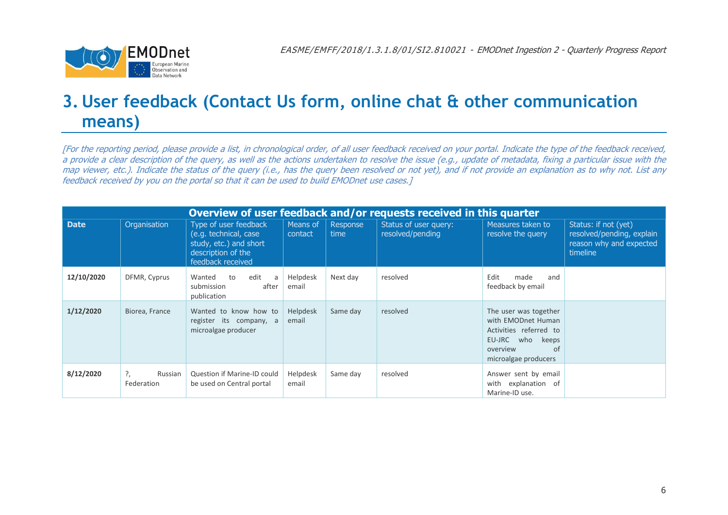

### **3. User feedback (Contact Us form, online chat & other communication means)**

[For the reporting period, please provide a list, in chronological order, of all user feedback received on your portal. Indicate the type of the feedback received, a provide a clear description of the query, as well as the actions undertaken to resolve the issue (e.g., update of metadata, fixing a particular issue with the map viewer, etc.). Indicate the status of the query (i.e., has the query been resolved or not yet), and if not provide an explanation as to why not. List any feedback received by you on the portal so that it can be used to build EMODnet use cases.]

<span id="page-5-0"></span>

| Overview of user feedback and/or requests received in this quarter |                             |                                                                                                                     |                     |                  |                                           |                                                                                                                                        |                                                                                          |
|--------------------------------------------------------------------|-----------------------------|---------------------------------------------------------------------------------------------------------------------|---------------------|------------------|-------------------------------------------|----------------------------------------------------------------------------------------------------------------------------------------|------------------------------------------------------------------------------------------|
| <b>Date</b>                                                        | Organisation                | Type of user feedback<br>(e.g. technical, case<br>study, etc.) and short<br>description of the<br>feedback received | Means of<br>contact | Response<br>time | Status of user query:<br>resolved/pending | Measures taken to<br>resolve the query                                                                                                 | Status: if not (yet)<br>resolved/pending, explain<br>reason why and expected<br>timeline |
| 12/10/2020                                                         | DFMR, Cyprus                | edit<br>Wanted<br>to<br>a<br>submission<br>after<br>publication                                                     | Helpdesk<br>email   | Next day         | resolved                                  | Edit<br>made<br>and<br>feedback by email                                                                                               |                                                                                          |
| 1/12/2020                                                          | Biorea, France              | Wanted to know how to<br>register its company, a<br>microalgae producer                                             | Helpdesk<br>email   | Same day         | resolved                                  | The user was together<br>with EMODnet Human<br>Activities referred to<br>EU-JRC who<br>keeps<br>overview<br>of<br>microalgae producers |                                                                                          |
| 8/12/2020                                                          | ?,<br>Russian<br>Federation | Question if Marine-ID could<br>be used on Central portal                                                            | Helpdesk<br>email   | Same day         | resolved                                  | Answer sent by email<br>with explanation of<br>Marine-ID use.                                                                          |                                                                                          |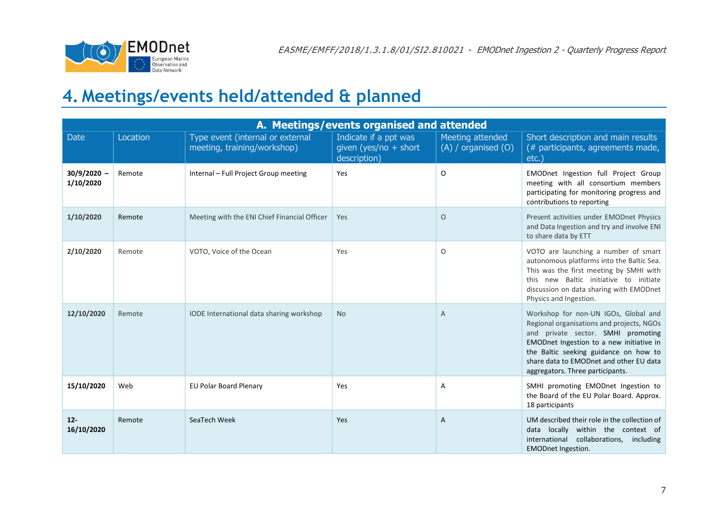

## **4. Meetings/events held/attended & planned**

<span id="page-6-0"></span>

| A. Meetings/events organised and attended |          |                                                                 |                                                                  |                                             |                                                                                                                                                                                                                                                                                             |  |
|-------------------------------------------|----------|-----------------------------------------------------------------|------------------------------------------------------------------|---------------------------------------------|---------------------------------------------------------------------------------------------------------------------------------------------------------------------------------------------------------------------------------------------------------------------------------------------|--|
| <b>Date</b>                               | Location | Type event (internal or external<br>meeting, training/workshop) | Indicate if a ppt was<br>given (yes/no $+$ short<br>description) | Meeting attended<br>$(A)$ / organised $(O)$ | Short description and main results<br>(# participants, agreements made,<br>etc.                                                                                                                                                                                                             |  |
| $30/9/2020 -$<br>1/10/2020                | Remote   | Internal - Full Project Group meeting                           | Yes                                                              | 0                                           | EMODnet Ingestion full Project Group<br>meeting with all consortium members<br>participating for monitoring progress and<br>contributions to reporting                                                                                                                                      |  |
| 1/10/2020                                 | Remote   | Meeting with the ENI Chief Financial Officer                    | Yes                                                              | $\circ$                                     | Present activities under EMODnet Physics<br>and Data Ingestion and try and involve ENI<br>to share data by ETT                                                                                                                                                                              |  |
| 2/10/2020                                 | Remote   | VOTO, Voice of the Ocean                                        | Yes                                                              | O                                           | VOTO are launching a number of smart<br>autonomous platforms into the Baltic Sea.<br>This was the first meeting by SMHI with<br>this new Baltic initiative to initiate<br>discussion on data sharing with EMODnet<br>Physics and Ingestion.                                                 |  |
| 12/10/2020                                | Remote   | IODE International data sharing workshop                        | <b>No</b>                                                        | Α                                           | Workshop for non-UN IGOs, Global and<br>Regional organisations and projects, NGOs<br>and private sector. SMHI promoting<br>EMODnet Ingestion to a new initiative in<br>the Baltic seeking guidance on how to<br>share data to EMODnet and other EU data<br>aggregators. Three participants. |  |
| 15/10/2020                                | Web      | <b>EU Polar Board Plenary</b>                                   | Yes                                                              | А                                           | SMHI promoting EMODnet Ingestion to<br>the Board of the EU Polar Board. Approx.<br>18 participants                                                                                                                                                                                          |  |
| $12 -$<br>16/10/2020                      | Remote   | SeaTech Week                                                    | Yes                                                              | Α                                           | UM described their role in the collection of<br>locally within the context of<br>data<br>international<br>collaborations,<br>including<br><b>EMODnet Ingestion.</b>                                                                                                                         |  |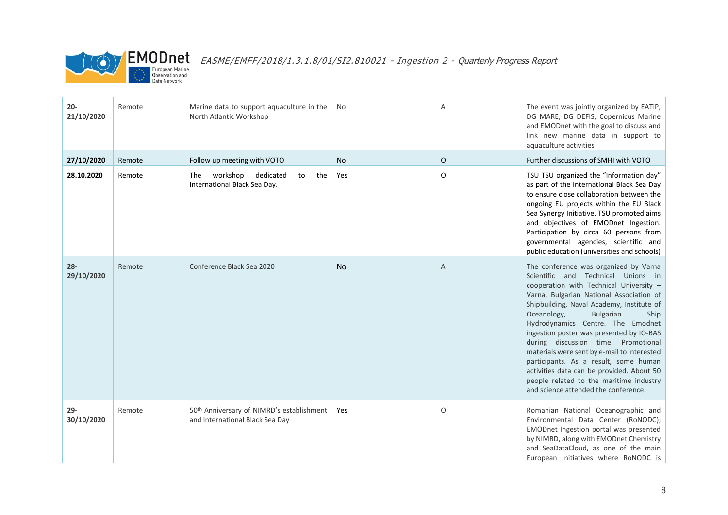

| $20 -$<br>21/10/2020 | Remote | Marine data to support aquaculture in the<br>North Atlantic Workshop                     | No        | A | The event was jointly organized by EATiP,<br>DG MARE, DG DEFIS, Copernicus Marine<br>and EMODnet with the goal to discuss and<br>link new marine data in support to<br>aquaculture activities                                                                                                                                                                                                                                                                                                                                                                                                              |
|----------------------|--------|------------------------------------------------------------------------------------------|-----------|---|------------------------------------------------------------------------------------------------------------------------------------------------------------------------------------------------------------------------------------------------------------------------------------------------------------------------------------------------------------------------------------------------------------------------------------------------------------------------------------------------------------------------------------------------------------------------------------------------------------|
| 27/10/2020           | Remote | Follow up meeting with VOTO                                                              | <b>No</b> | 0 | Further discussions of SMHI with VOTO                                                                                                                                                                                                                                                                                                                                                                                                                                                                                                                                                                      |
| 28.10.2020           | Remote | workshop dedicated<br>The<br>the<br>to<br>International Black Sea Day.                   | Yes       | 0 | TSU TSU organized the "Information day"<br>as part of the International Black Sea Day<br>to ensure close collaboration between the<br>ongoing EU projects within the EU Black<br>Sea Synergy Initiative. TSU promoted aims<br>and objectives of EMODnet Ingestion.<br>Participation by circa 60 persons from<br>governmental agencies, scientific and<br>public education (universities and schools)                                                                                                                                                                                                       |
| $28 -$<br>29/10/2020 | Remote | Conference Black Sea 2020                                                                | <b>No</b> | Α | The conference was organized by Varna<br>Scientific and Technical Unions in<br>cooperation with Technical University -<br>Varna, Bulgarian National Association of<br>Shipbuilding, Naval Academy, Institute of<br>Oceanology,<br><b>Bulgarian</b><br>Ship<br>Hydrodynamics Centre. The Emodnet<br>ingestion poster was presented by IO-BAS<br>during discussion time. Promotional<br>materials were sent by e-mail to interested<br>participants. As a result, some human<br>activities data can be provided. About 50<br>people related to the maritime industry<br>and science attended the conference. |
| $29 -$<br>30/10/2020 | Remote | 50 <sup>th</sup> Anniversary of NIMRD's establishment<br>and International Black Sea Day | Yes       | 0 | Romanian National Oceanographic and<br>Environmental Data Center (RoNODC);<br>EMODnet Ingestion portal was presented<br>by NIMRD, along with EMODnet Chemistry<br>and SeaDataCloud, as one of the main<br>European Initiatives where RoNODC is                                                                                                                                                                                                                                                                                                                                                             |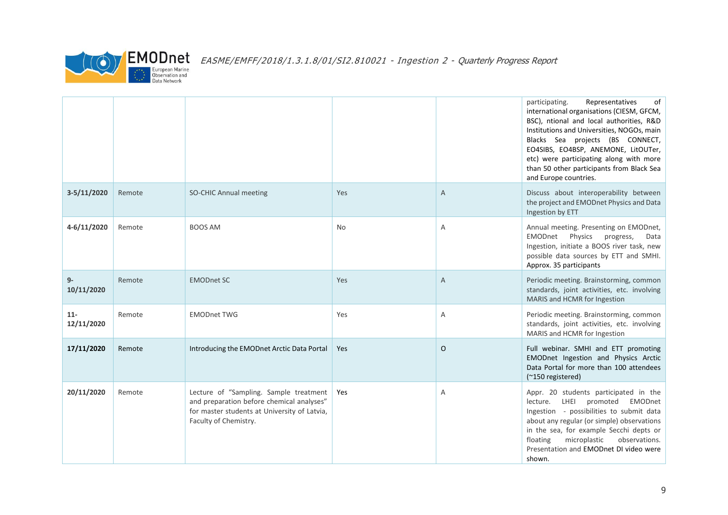

|                     |        |                                                                                                                                                              |            |              | of<br>participating.<br>Representatives<br>international organisations (CIESM, GFCM,<br>BSC), ntional and local authorities, R&D<br>Institutions and Universities, NOGOs, main<br>Blacks Sea projects (BS CONNECT,<br>EO4SIBS, EO4BSP, ANEMONE, LitOUTer,<br>etc) were participating along with more<br>than 50 other participants from Black Sea<br>and Europe countries. |
|---------------------|--------|--------------------------------------------------------------------------------------------------------------------------------------------------------------|------------|--------------|----------------------------------------------------------------------------------------------------------------------------------------------------------------------------------------------------------------------------------------------------------------------------------------------------------------------------------------------------------------------------|
| $3-5/11/2020$       | Remote | <b>SO-CHIC Annual meeting</b>                                                                                                                                | Yes        | A            | Discuss about interoperability between<br>the project and EMODnet Physics and Data<br>Ingestion by ETT                                                                                                                                                                                                                                                                     |
| 4-6/11/2020         | Remote | <b>BOOS AM</b>                                                                                                                                               | <b>No</b>  | Α            | Annual meeting. Presenting on EMODnet,<br>EMODnet Physics progress,<br>Data<br>Ingestion, initiate a BOOS river task, new<br>possible data sources by ETT and SMHI.<br>Approx. 35 participants                                                                                                                                                                             |
| $9-$<br>10/11/2020  | Remote | <b>EMODnet SC</b>                                                                                                                                            | Yes        | A            | Periodic meeting. Brainstorming, common<br>standards, joint activities, etc. involving<br>MARIS and HCMR for Ingestion                                                                                                                                                                                                                                                     |
| $11-$<br>12/11/2020 | Remote | <b>EMODnet TWG</b>                                                                                                                                           | Yes        | Α            | Periodic meeting. Brainstorming, common<br>standards, joint activities, etc. involving<br>MARIS and HCMR for Ingestion                                                                                                                                                                                                                                                     |
| 17/11/2020          | Remote | Introducing the EMODnet Arctic Data Portal                                                                                                                   | <b>Yes</b> | $\mathsf{O}$ | Full webinar. SMHI and ETT promoting<br>EMODnet Ingestion and Physics Arctic<br>Data Portal for more than 100 attendees<br>(~150 registered)                                                                                                                                                                                                                               |
| 20/11/2020          | Remote | Lecture of "Sampling. Sample treatment<br>and preparation before chemical analyses"<br>for master students at University of Latvia,<br>Faculty of Chemistry. | Yes        | Α            | Appr. 20 students participated in the<br>lecture. LHEI promoted EMODnet<br>Ingestion - possibilities to submit data<br>about any regular (or simple) observations<br>in the sea, for example Secchi depts or<br>floating<br>microplastic<br>observations.<br>Presentation and EMODnet DI video were<br>shown.                                                              |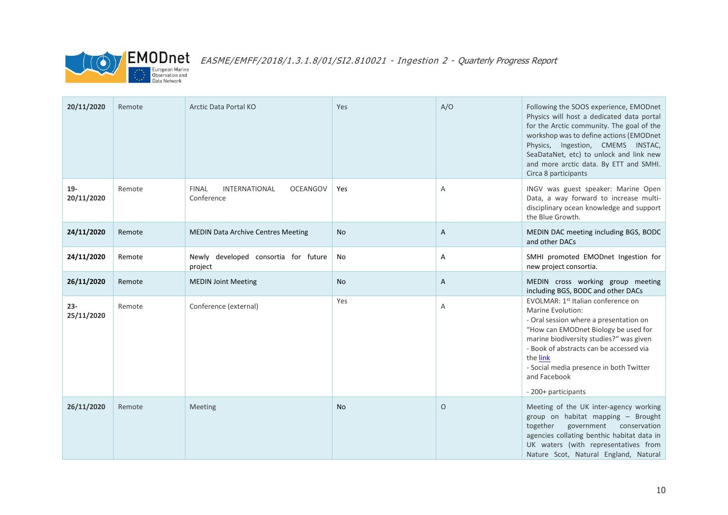

| 20/11/2020           | Remote | Arctic Data Portal KO                                                 | Yes       | A/O     | Following the SOOS experience, EMODnet<br>Physics will host a dedicated data portal<br>for the Arctic community. The goal of the<br>workshop was to define actions (EMODnet<br>Physics, Ingestion, CMEMS INSTAC,<br>SeaDataNet, etc) to unlock and link new<br>and more arctic data. By ETT and SMHI.<br>Circa 8 participants |
|----------------------|--------|-----------------------------------------------------------------------|-----------|---------|-------------------------------------------------------------------------------------------------------------------------------------------------------------------------------------------------------------------------------------------------------------------------------------------------------------------------------|
| $19-$<br>20/11/2020  | Remote | <b>FINAL</b><br><b>INTERNATIONAL</b><br><b>OCEANGOV</b><br>Conference | Yes       | Α       | INGV was guest speaker: Marine Open<br>Data, a way forward to increase multi-<br>disciplinary ocean knowledge and support<br>the Blue Growth.                                                                                                                                                                                 |
| 24/11/2020           | Remote | <b>MEDIN Data Archive Centres Meeting</b>                             | No        | A       | MEDIN DAC meeting including BGS, BODC<br>and other DACs                                                                                                                                                                                                                                                                       |
| 24/11/2020           | Remote | Newly developed consortia for future<br>project                       | No        | Α       | SMHI promoted EMODnet Ingestion for<br>new project consortia.                                                                                                                                                                                                                                                                 |
| 26/11/2020           | Remote | <b>MEDIN Joint Meeting</b>                                            | <b>No</b> | A       | MEDIN cross working group meeting<br>including BGS, BODC and other DACs                                                                                                                                                                                                                                                       |
| $23 -$<br>25/11/2020 | Remote | Conference (external)                                                 | Yes       | A       | EVOLMAR: 1st Italian conference on<br>Marine Evolution:<br>- Oral session where a presentation on<br>"How can EMODnet Biology be used for<br>marine biodiversity studies?" was given<br>- Book of abstracts can be accessed via<br>the link<br>- Social media presence in both Twitter<br>and Facebook<br>- 200+ participants |
| 26/11/2020           | Remote | Meeting                                                               | <b>No</b> | $\circ$ | Meeting of the UK inter-agency working<br>group on habitat mapping - Brought<br>together<br>government conservation<br>agencies collating benthic habitat data in<br>UK waters (with representatives from<br>Nature Scot, Natural England, Natural                                                                            |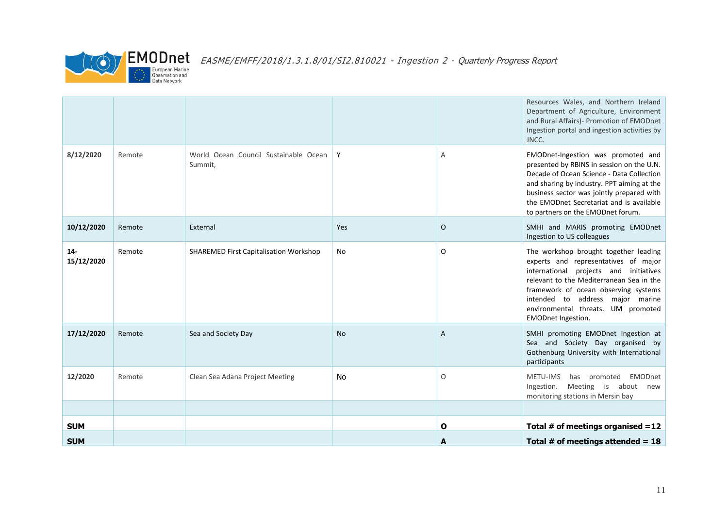

|                     |        |                                                  |           |              | Resources Wales, and Northern Ireland<br>Department of Agriculture, Environment<br>and Rural Affairs)- Promotion of EMODnet<br>Ingestion portal and ingestion activities by<br>JNCC.                                                                                                                               |
|---------------------|--------|--------------------------------------------------|-----------|--------------|--------------------------------------------------------------------------------------------------------------------------------------------------------------------------------------------------------------------------------------------------------------------------------------------------------------------|
| 8/12/2020           | Remote | World Ocean Council Sustainable Ocean<br>Summit, | Y         | Α            | EMODnet-Ingestion was promoted and<br>presented by RBINS in session on the U.N.<br>Decade of Ocean Science - Data Collection<br>and sharing by industry. PPT aiming at the<br>business sector was jointly prepared with<br>the EMODnet Secretariat and is available<br>to partners on the EMODnet forum.           |
| 10/12/2020          | Remote | External                                         | Yes       | $\mathsf{O}$ | SMHI and MARIS promoting EMODnet<br>Ingestion to US colleagues                                                                                                                                                                                                                                                     |
| $14-$<br>15/12/2020 | Remote | <b>SHAREMED First Capitalisation Workshop</b>    | <b>No</b> | $\circ$      | The workshop brought together leading<br>experts and representatives of major<br>international projects and initiatives<br>relevant to the Mediterranean Sea in the<br>framework of ocean observing systems<br>intended to address major marine<br>environmental threats. UM promoted<br><b>EMODnet Ingestion.</b> |
| 17/12/2020          | Remote | Sea and Society Day                              | <b>No</b> | A            | SMHI promoting EMODnet Ingestion at<br>Sea and Society Day organised by<br>Gothenburg University with International<br>participants                                                                                                                                                                                |
| 12/2020             | Remote | Clean Sea Adana Project Meeting                  | No        | $\circ$      | has promoted<br>EMODnet<br><b>METU-IMS</b><br>Meeting is about<br>Ingestion.<br>new<br>monitoring stations in Mersin bay                                                                                                                                                                                           |
|                     |        |                                                  |           |              |                                                                                                                                                                                                                                                                                                                    |
| <b>SUM</b>          |        |                                                  |           | $\mathbf{o}$ | Total # of meetings organised $=12$                                                                                                                                                                                                                                                                                |
| <b>SUM</b>          |        |                                                  |           | A            | Total # of meetings attended = $18$                                                                                                                                                                                                                                                                                |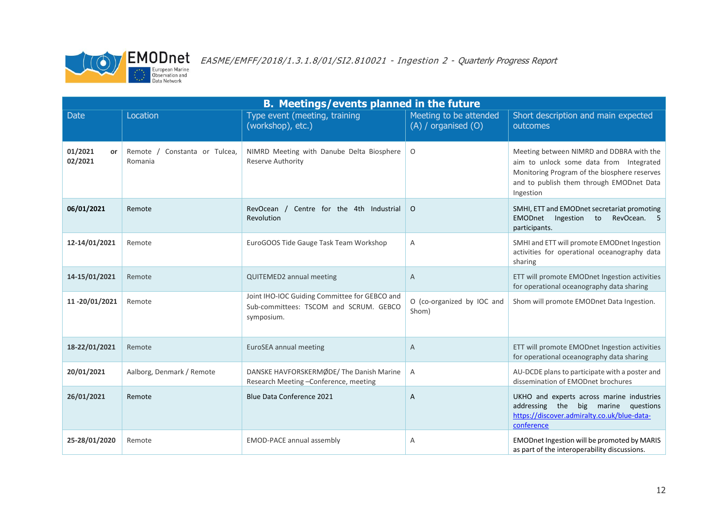

| <b>B. Meetings/events planned in the future</b> |                                             |                                                                                                       |                                                   |                                                                                                                                                                                              |  |  |
|-------------------------------------------------|---------------------------------------------|-------------------------------------------------------------------------------------------------------|---------------------------------------------------|----------------------------------------------------------------------------------------------------------------------------------------------------------------------------------------------|--|--|
| <b>Date</b>                                     | Location                                    | Type event (meeting, training<br>(workshop), etc.)                                                    | Meeting to be attended<br>$(A)$ / organised $(O)$ | Short description and main expected<br>outcomes                                                                                                                                              |  |  |
| 01/2021<br>or<br>02/2021                        | Constanta or Tulcea,<br>Remote /<br>Romania | NIMRD Meeting with Danube Delta Biosphere<br>Reserve Authority                                        | $\circ$                                           | Meeting between NIMRD and DDBRA with the<br>aim to unlock some data from Integrated<br>Monitoring Program of the biosphere reserves<br>and to publish them through EMODnet Data<br>Ingestion |  |  |
| 06/01/2021                                      | Remote                                      | RevOcean /<br>Centre for the 4th Industrial<br>Revolution                                             | $\circ$                                           | SMHI, ETT and EMODnet secretariat promoting<br>Ingestion to<br>RevOcean. 5<br><b>EMODnet</b><br>participants.                                                                                |  |  |
| 12-14/01/2021                                   | Remote                                      | EuroGOOS Tide Gauge Task Team Workshop                                                                | Α                                                 | SMHI and ETT will promote EMODnet Ingestion<br>activities for operational oceanography data<br>sharing                                                                                       |  |  |
| 14-15/01/2021                                   | Remote                                      | QUITEMED2 annual meeting                                                                              | $\overline{A}$                                    | ETT will promote EMODnet Ingestion activities<br>for operational oceanography data sharing                                                                                                   |  |  |
| 11-20/01/2021                                   | Remote                                      | Joint IHO-IOC Guiding Committee for GEBCO and<br>Sub-committees: TSCOM and SCRUM. GEBCO<br>symposium. | O (co-organized by IOC and<br>Shom)               | Shom will promote EMODnet Data Ingestion.                                                                                                                                                    |  |  |
| 18-22/01/2021                                   | Remote                                      | EuroSEA annual meeting                                                                                | A                                                 | ETT will promote EMODnet Ingestion activities<br>for operational oceanography data sharing                                                                                                   |  |  |
| 20/01/2021                                      | Aalborg, Denmark / Remote                   | DANSKE HAVFORSKERMØDE/The Danish Marine<br>Research Meeting-Conference, meeting                       | A                                                 | AU-DCDE plans to participate with a poster and<br>dissemination of EMODnet brochures                                                                                                         |  |  |
| 26/01/2021                                      | Remote                                      | <b>Blue Data Conference 2021</b>                                                                      | A                                                 | UKHO and experts across marine industries<br>addressing the big marine<br>questions<br>https://discover.admiralty.co.uk/blue-data-<br>conference                                             |  |  |
| 25-28/01/2020                                   | Remote                                      | EMOD-PACE annual assembly                                                                             | Α                                                 | EMODnet Ingestion will be promoted by MARIS<br>as part of the interoperability discussions.                                                                                                  |  |  |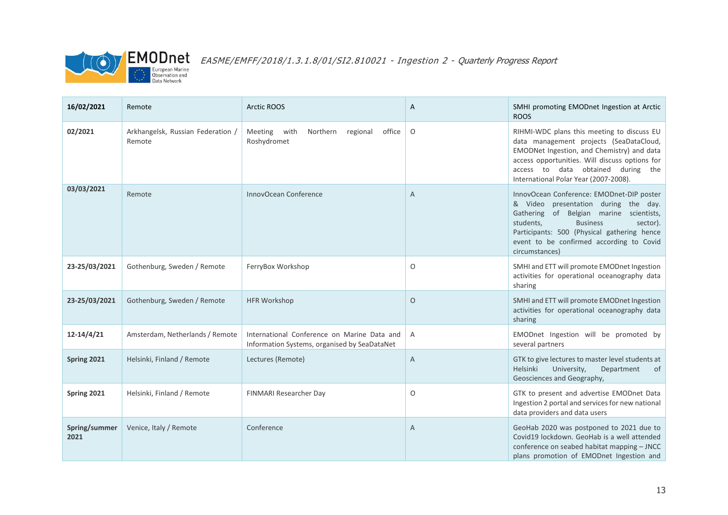

| 16/02/2021            | Remote                                      | <b>Arctic ROOS</b>                                                                          | Α              | SMHI promoting EMODnet Ingestion at Arctic<br><b>ROOS</b>                                                                                                                                                                                                                             |
|-----------------------|---------------------------------------------|---------------------------------------------------------------------------------------------|----------------|---------------------------------------------------------------------------------------------------------------------------------------------------------------------------------------------------------------------------------------------------------------------------------------|
| 02/2021               | Arkhangelsk, Russian Federation /<br>Remote | Meeting with<br>Northern regional<br>office<br>Roshydromet                                  | 0              | RIHMI-WDC plans this meeting to discuss EU<br>data management projects (SeaDataCloud,<br>EMODNet Ingestion, and Chemistry) and data<br>access opportunities. Will discuss options for<br>access to data obtained during the<br>International Polar Year (2007-2008).                  |
| 03/03/2021            | Remote                                      | InnovOcean Conference                                                                       | A              | InnovOcean Conference: EMODnet-DIP poster<br>& Video presentation during the day.<br>Gathering of Belgian marine scientists,<br><b>Business</b><br>students,<br>sector).<br>Participants: 500 (Physical gathering hence<br>event to be confirmed according to Covid<br>circumstances) |
| 23-25/03/2021         | Gothenburg, Sweden / Remote                 | FerryBox Workshop                                                                           | O              | SMHI and ETT will promote EMODnet Ingestion<br>activities for operational oceanography data<br>sharing                                                                                                                                                                                |
| 23-25/03/2021         | Gothenburg, Sweden / Remote                 | <b>HFR Workshop</b>                                                                         | $\circ$        | SMHI and ETT will promote EMODnet Ingestion<br>activities for operational oceanography data<br>sharing                                                                                                                                                                                |
| $12 - 14/4/21$        | Amsterdam, Netherlands / Remote             | International Conference on Marine Data and<br>Information Systems, organised by SeaDataNet | $\overline{A}$ | EMODnet Ingestion will be promoted by<br>several partners                                                                                                                                                                                                                             |
| Spring 2021           | Helsinki, Finland / Remote                  | Lectures (Remote)                                                                           | A              | GTK to give lectures to master level students at<br>Helsinki<br>University,<br>Department<br>of<br>Geosciences and Geography,                                                                                                                                                         |
| Spring 2021           | Helsinki, Finland / Remote                  | FINMARI Researcher Day                                                                      | $\circ$        | GTK to present and advertise EMODnet Data<br>Ingestion 2 portal and services for new national<br>data providers and data users                                                                                                                                                        |
| Spring/summer<br>2021 | Venice, Italy / Remote                      | Conference                                                                                  | A              | GeoHab 2020 was postponed to 2021 due to<br>Covid19 lockdown. GeoHab is a well attended<br>conference on seabed habitat mapping - JNCC<br>plans promotion of EMODnet Ingestion and                                                                                                    |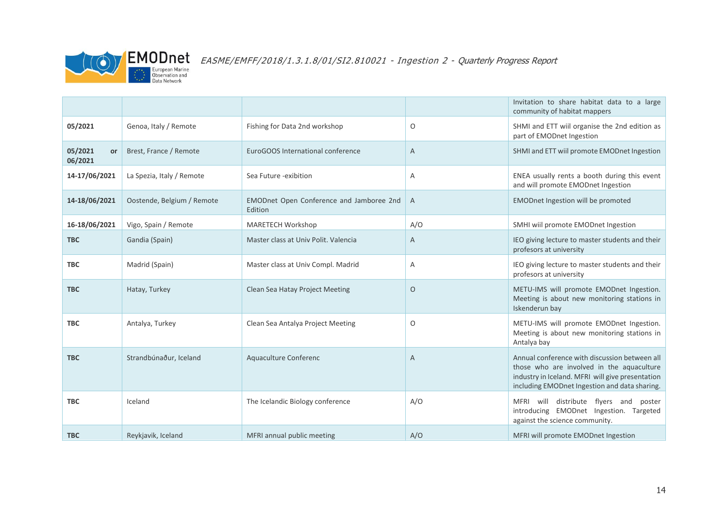

 $\textcolor{red}{\mathsf{FMSME}/\mathsf{EMFF}/2018/1.3.1.8/01/S12.810021}$  - Ingestion 2 - Quarterly Progress Report

|                          |                            |                                                     |         | Invitation to share habitat data to a large<br>community of habitat mappers                                                                                                                     |
|--------------------------|----------------------------|-----------------------------------------------------|---------|-------------------------------------------------------------------------------------------------------------------------------------------------------------------------------------------------|
| 05/2021                  | Genoa, Italy / Remote      | Fishing for Data 2nd workshop                       | O       | SHMI and ETT wiil organise the 2nd edition as<br>part of EMODnet Ingestion                                                                                                                      |
| 05/2021<br>or<br>06/2021 | Brest, France / Remote     | EuroGOOS International conference                   | A       | SHMI and ETT wiil promote EMODnet Ingestion                                                                                                                                                     |
| 14-17/06/2021            | La Spezia, Italy / Remote  | Sea Future -exibition                               | Α       | ENEA usually rents a booth during this event<br>and will promote EMODnet Ingestion                                                                                                              |
| 14-18/06/2021            | Oostende, Belgium / Remote | EMODnet Open Conference and Jamboree 2nd<br>Edition | A       | <b>EMODnet Ingestion will be promoted</b>                                                                                                                                                       |
| 16-18/06/2021            | Vigo, Spain / Remote       | MARETECH Workshop                                   | A/O     | SMHI wiil promote EMODnet Ingestion                                                                                                                                                             |
| <b>TBC</b>               | Gandia (Spain)             | Master class at Univ Polit. Valencia                | Α       | IEO giving lecture to master students and their<br>profesors at university                                                                                                                      |
| <b>TBC</b>               | Madrid (Spain)             | Master class at Univ Compl. Madrid                  | A       | IEO giving lecture to master students and their<br>profesors at university                                                                                                                      |
| <b>TBC</b>               | Hatay, Turkey              | Clean Sea Hatay Project Meeting                     | $\circ$ | METU-IMS will promote EMODnet Ingestion.<br>Meeting is about new monitoring stations in<br>Iskenderun bay                                                                                       |
| <b>TBC</b>               | Antalya, Turkey            | Clean Sea Antalya Project Meeting                   | O       | METU-IMS will promote EMODnet Ingestion.<br>Meeting is about new monitoring stations in<br>Antalya bay                                                                                          |
| <b>TBC</b>               | Strandbúnaður, Iceland     | Aquaculture Conferenc                               | A       | Annual conference with discussion between all<br>those who are involved in the aquaculture<br>industry in Iceland. MFRI will give presentation<br>including EMODnet Ingestion and data sharing. |
| <b>TBC</b>               | Iceland                    | The Icelandic Biology conference                    | A/O     | MFRI will distribute flyers and<br>poster<br>introducing EMODnet Ingestion. Targeted<br>against the science community.                                                                          |
| <b>TBC</b>               | Reykjavik, Iceland         | MFRI annual public meeting                          | A/O     | MFRI will promote EMODnet Ingestion                                                                                                                                                             |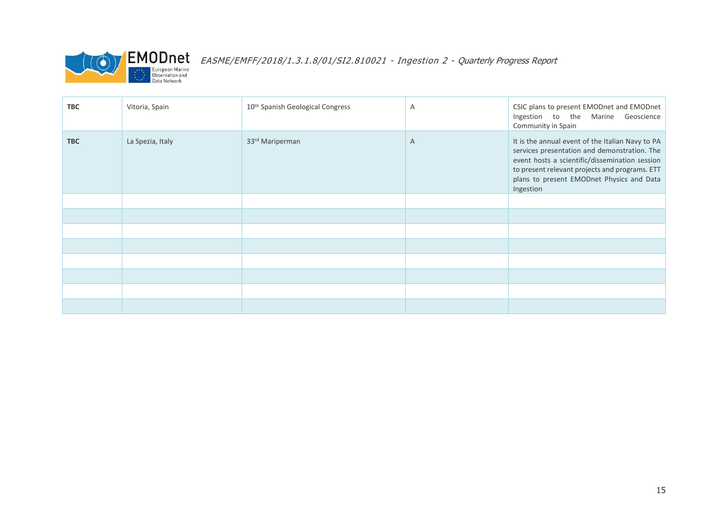

 $\sum_{\text{European Marine} \atop \text{Observation and \atop Data Network}} \text{EMODnet}_{\text{Decon} \atop \text{Data Network}} \text{EASME/EMFF/2018/1.3.1.8/01/SI2.810021 - Integration 2 - Quarterly Progress Report}$ 

| <b>TBC</b> | Vitoria, Spain   | 10 <sup>th</sup> Spanish Geological Congress | A | CSIC plans to present EMODnet and EMODnet<br>Ingestion to the Marine Geoscience<br>Community in Spain                                                                                                                                                          |
|------------|------------------|----------------------------------------------|---|----------------------------------------------------------------------------------------------------------------------------------------------------------------------------------------------------------------------------------------------------------------|
| <b>TBC</b> | La Spezia, Italy | 33rd Mariperman                              | A | It is the annual event of the Italian Navy to PA<br>services presentation and demonstration. The<br>event hosts a scientific/dissemination session<br>to present relevant projects and programs. ETT<br>plans to present EMODnet Physics and Data<br>Ingestion |
|            |                  |                                              |   |                                                                                                                                                                                                                                                                |
|            |                  |                                              |   |                                                                                                                                                                                                                                                                |
|            |                  |                                              |   |                                                                                                                                                                                                                                                                |
|            |                  |                                              |   |                                                                                                                                                                                                                                                                |
|            |                  |                                              |   |                                                                                                                                                                                                                                                                |
|            |                  |                                              |   |                                                                                                                                                                                                                                                                |
|            |                  |                                              |   |                                                                                                                                                                                                                                                                |
|            |                  |                                              |   |                                                                                                                                                                                                                                                                |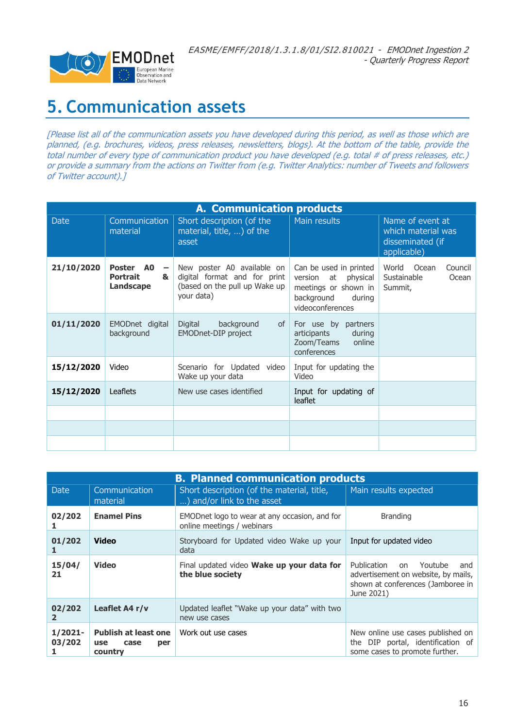

## <span id="page-15-0"></span>**5. Communication assets**

[Please list all of the communication assets you have developed during this period, as well as those which are planned, (e.g. brochures, videos, press releases, newsletters, blogs). At the bottom of the table, provide the total number of every type of communication product you have developed (e.g. total # of press releases, etc.) or provide a summary from the actions on Twitter from (e.g. Twitter Analytics: number of Tweets and followers of Twitter account).]

|             | <b>A. Communication products</b>                                           |                                                                                                            |                                                                                                                   |                                                              |  |  |  |
|-------------|----------------------------------------------------------------------------|------------------------------------------------------------------------------------------------------------|-------------------------------------------------------------------------------------------------------------------|--------------------------------------------------------------|--|--|--|
| <b>Date</b> | Communication<br>material                                                  | Short description (of the<br>material, title, ) of the<br>asset                                            | Main results<br>Name of event at<br>which material was<br>disseminated (if<br>applicable)                         |                                                              |  |  |  |
| 21/10/2020  | Poster AO<br>$\overline{\phantom{a}}$<br><b>Portrait</b><br>&<br>Landscape | New poster A0 available on<br>digital format and for print<br>(based on the pull up Wake up)<br>your data) | Can be used in printed<br>version at physical<br>meetings or shown in<br>background<br>during<br>videoconferences | Council<br>World<br>Ocean<br>Sustainable<br>Ocean<br>Summit, |  |  |  |
| 01/11/2020  | EMODnet digital<br>background                                              | Digital<br>background<br>of<br>EMODnet-DIP project                                                         | For use by partners<br>articipants<br>during<br>Zoom/Teams<br>online<br>conferences                               |                                                              |  |  |  |
| 15/12/2020  | Video                                                                      | Scenario for Updated video<br>Wake up your data                                                            | Input for updating the<br>Video                                                                                   |                                                              |  |  |  |
| 15/12/2020  | Leaflets                                                                   | New use cases identified                                                                                   | Input for updating of<br>leaflet                                                                                  |                                                              |  |  |  |
|             |                                                                            |                                                                                                            |                                                                                                                   |                                                              |  |  |  |
|             |                                                                            |                                                                                                            |                                                                                                                   |                                                              |  |  |  |
|             |                                                                            |                                                                                                            |                                                                                                                   |                                                              |  |  |  |

|                        | <b>B. Planned communication products</b>                            |                                                                             |                                                                                                                               |  |  |  |  |
|------------------------|---------------------------------------------------------------------|-----------------------------------------------------------------------------|-------------------------------------------------------------------------------------------------------------------------------|--|--|--|--|
| <b>Date</b>            | Communication<br>material                                           | Short description (of the material, title,<br>) and/or link to the asset    | Main results expected                                                                                                         |  |  |  |  |
| 02/202                 | <b>Enamel Pins</b>                                                  | EMODnet logo to wear at any occasion, and for<br>online meetings / webinars | <b>Branding</b>                                                                                                               |  |  |  |  |
| 01/202                 | Video                                                               | Storyboard for Updated video Wake up your<br>data                           | Input for updated video                                                                                                       |  |  |  |  |
| 15/04/<br>21           | <b>Video</b>                                                        | Final updated video Wake up your data for<br>the blue society               | Publication<br>Youtube<br>on<br>and<br>advertisement on website, by mails,<br>shown at conferences (Jamboree in<br>June 2021) |  |  |  |  |
| 02/202<br>$\mathbf{z}$ | Leaflet A4 r/v                                                      | Updated leaflet "Wake up your data" with two<br>new use cases               |                                                                                                                               |  |  |  |  |
| 1/2021-<br>03/202      | <b>Publish at least one</b><br><b>use</b><br>case<br>per<br>country | Work out use cases                                                          | New online use cases published on<br>the DIP portal, identification of<br>some cases to promote further.                      |  |  |  |  |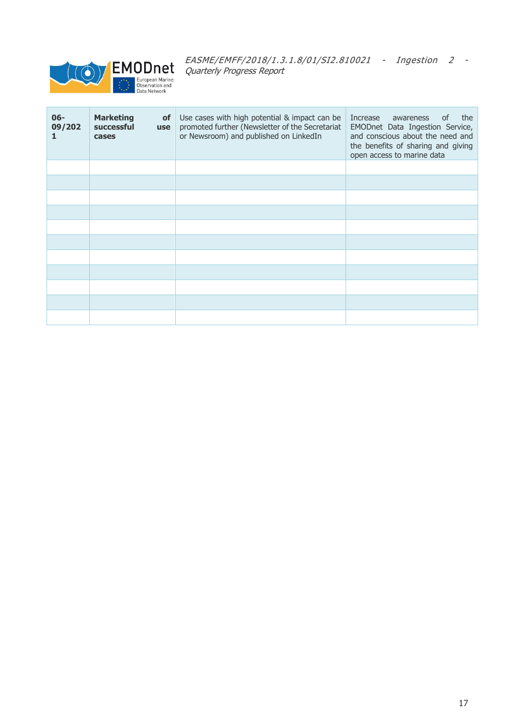

| $06 -$<br>09/202<br>1. | <b>Marketing</b><br><b>of</b><br>successful<br><b>use</b><br>cases | Use cases with high potential & impact can be<br>promoted further (Newsletter of the Secretariat<br>or Newsroom) and published on LinkedIn | the<br>Increase<br>0f<br>awareness<br>EMODnet Data Ingestion Service,<br>and conscious about the need and<br>the benefits of sharing and giving<br>open access to marine data |
|------------------------|--------------------------------------------------------------------|--------------------------------------------------------------------------------------------------------------------------------------------|-------------------------------------------------------------------------------------------------------------------------------------------------------------------------------|
|                        |                                                                    |                                                                                                                                            |                                                                                                                                                                               |
|                        |                                                                    |                                                                                                                                            |                                                                                                                                                                               |
|                        |                                                                    |                                                                                                                                            |                                                                                                                                                                               |
|                        |                                                                    |                                                                                                                                            |                                                                                                                                                                               |
|                        |                                                                    |                                                                                                                                            |                                                                                                                                                                               |
|                        |                                                                    |                                                                                                                                            |                                                                                                                                                                               |
|                        |                                                                    |                                                                                                                                            |                                                                                                                                                                               |
|                        |                                                                    |                                                                                                                                            |                                                                                                                                                                               |
|                        |                                                                    |                                                                                                                                            |                                                                                                                                                                               |
|                        |                                                                    |                                                                                                                                            |                                                                                                                                                                               |
|                        |                                                                    |                                                                                                                                            |                                                                                                                                                                               |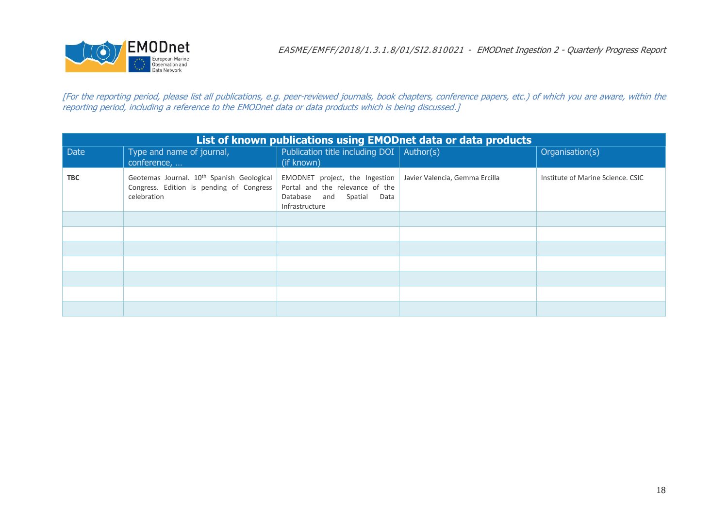

[For the reporting period, please list all publications, e.g. peer-reviewed journals, book chapters, conference papers, etc.) of which you are aware, within the reporting period, including a reference to the EMODnet data or data products which is being discussed.]

| List of known publications using EMODnet data or data products |                                                                                                                  |                                                                                                                  |                                |                                   |  |  |  |
|----------------------------------------------------------------|------------------------------------------------------------------------------------------------------------------|------------------------------------------------------------------------------------------------------------------|--------------------------------|-----------------------------------|--|--|--|
| <b>Date</b>                                                    | Type and name of journal,<br>conference,                                                                         | Publication title including $DOI  $ Author(s)<br>(if known)                                                      |                                | Organisation(s)                   |  |  |  |
| <b>TBC</b>                                                     | Geotemas Journal. 10 <sup>th</sup> Spanish Geological<br>Congress. Edition is pending of Congress<br>celebration | EMODNET project, the Ingestion<br>Portal and the relevance of the<br>Database and Spatial Data<br>Infrastructure | Javier Valencia, Gemma Ercilla | Institute of Marine Science, CSIC |  |  |  |
|                                                                |                                                                                                                  |                                                                                                                  |                                |                                   |  |  |  |
|                                                                |                                                                                                                  |                                                                                                                  |                                |                                   |  |  |  |
|                                                                |                                                                                                                  |                                                                                                                  |                                |                                   |  |  |  |
|                                                                |                                                                                                                  |                                                                                                                  |                                |                                   |  |  |  |
|                                                                |                                                                                                                  |                                                                                                                  |                                |                                   |  |  |  |
|                                                                |                                                                                                                  |                                                                                                                  |                                |                                   |  |  |  |
|                                                                |                                                                                                                  |                                                                                                                  |                                |                                   |  |  |  |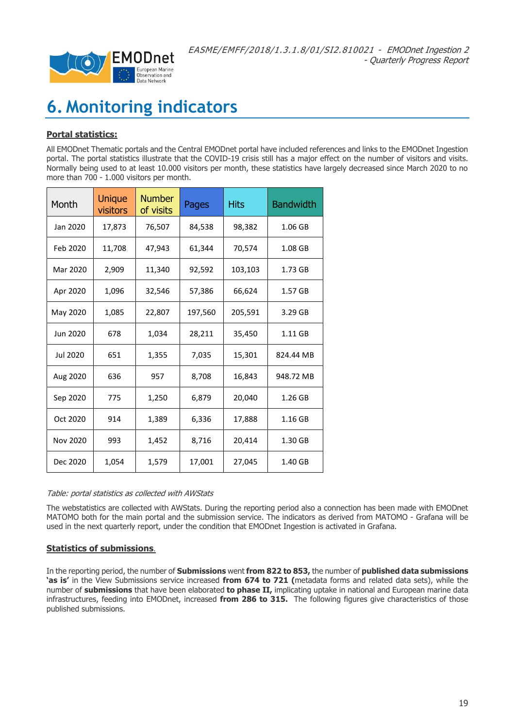

## <span id="page-18-0"></span>**6. Monitoring indicators**

#### **Portal statistics:**

All EMODnet Thematic portals and the Central EMODnet portal have included references and links to the EMODnet Ingestion portal. The portal statistics illustrate that the COVID-19 crisis still has a major effect on the number of visitors and visits. Normally being used to at least 10.000 visitors per month, these statistics have largely decreased since March 2020 to no more than 700 - 1.000 visitors per month.

| Month    | <b>Unique</b><br>visitors | <b>Number</b><br>of visits | Pages   | <b>Hits</b> | <b>Bandwidth</b> |
|----------|---------------------------|----------------------------|---------|-------------|------------------|
| Jan 2020 | 17,873                    | 76,507                     | 84,538  | 98,382      | 1.06 GB          |
| Feb 2020 | 11,708                    | 47,943                     | 61,344  | 70,574      | 1.08 GB          |
| Mar 2020 | 2,909                     | 11,340                     | 92,592  | 103,103     | 1.73 GB          |
| Apr 2020 | 1,096                     | 32,546                     | 57,386  | 66,624      | 1.57 GB          |
| May 2020 | 1,085                     | 22,807                     | 197,560 | 205,591     | 3.29 GB          |
| Jun 2020 | 678                       | 1,034                      | 28,211  | 35,450      | 1.11 GB          |
| Jul 2020 | 651                       | 1,355                      | 7,035   | 15,301      | 824.44 MB        |
| Aug 2020 | 636                       | 957                        | 8,708   | 16,843      | 948.72 MB        |
| Sep 2020 | 775                       | 1,250                      | 6,879   | 20,040      | 1.26 GB          |
| Oct 2020 | 914                       | 1,389                      | 6,336   | 17,888      | 1.16 GB          |
| Nov 2020 | 993                       | 1,452                      | 8,716   | 20,414      | 1.30 GB          |
| Dec 2020 | 1,054                     | 1,579                      | 17,001  | 27,045      | 1.40 GB          |

#### Table: portal statistics as collected with AWStats

The webstatistics are collected with AWStats. During the reporting period also a connection has been made with EMODnet MATOMO both for the main portal and the submission service. The indicators as derived from MATOMO - Grafana will be used in the next quarterly report, under the condition that EMODnet Ingestion is activated in Grafana.

#### **Statistics of submissions**.

In the reporting period, the number of **Submissions** went **from 822 to 853,** the number of **published data submissions 'as is'** in the View Submissions service increased **from 674 to 721 (**metadata forms and related data sets), while the number of **submissions** that have been elaborated **to phase II,** implicating uptake in national and European marine data infrastructures, feeding into EMODnet, increased **from 286 to 315.** The following figures give characteristics of those published submissions.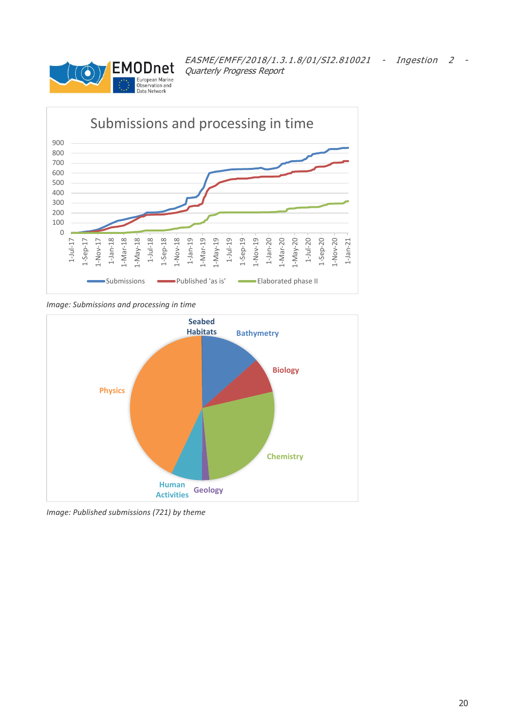



*Image: Submissions and processing in time*



*Image: Published submissions (721) by theme*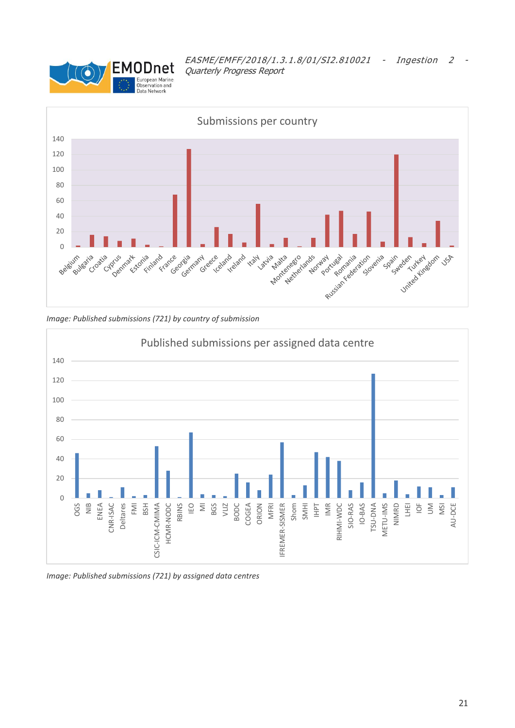







*Image: Published submissions (721) by assigned data centres*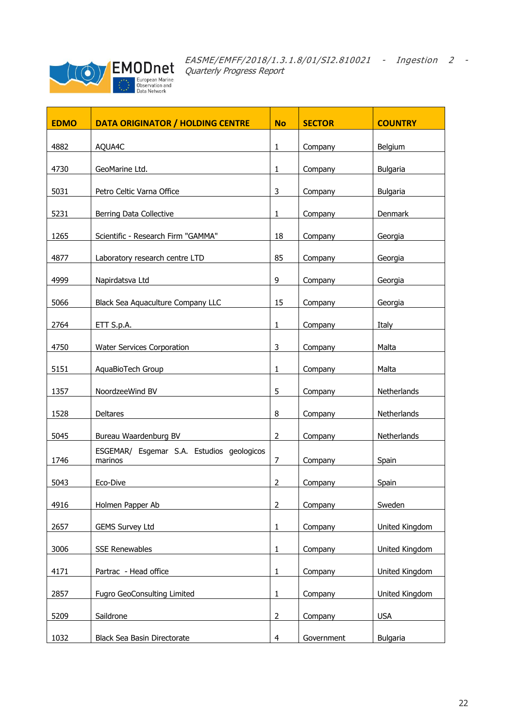

| <b>EDMO</b> | <b>DATA ORIGINATOR / HOLDING CENTRE</b>   | <b>No</b>      | <b>SECTOR</b> | <b>COUNTRY</b>  |
|-------------|-------------------------------------------|----------------|---------------|-----------------|
|             |                                           |                |               |                 |
| 4882        | AQUA4C                                    | $\mathbf{1}$   | Company       | Belgium         |
|             |                                           |                |               |                 |
| 4730        | GeoMarine Ltd.                            | $\mathbf{1}$   | Company       | <b>Bulgaria</b> |
|             |                                           |                |               |                 |
| 5031        | Petro Celtic Varna Office                 | 3              | Company       | <b>Bulgaria</b> |
| 5231        | Berring Data Collective                   | $\mathbf{1}$   | Company       | Denmark         |
|             |                                           |                |               |                 |
| 1265        | Scientific - Research Firm "GAMMA"        | 18             | Company       | Georgia         |
| 4877        |                                           | 85             |               |                 |
|             | Laboratory research centre LTD            |                | Company       | Georgia         |
| 4999        | Napirdatsva Ltd                           | 9              | Company       | Georgia         |
|             |                                           |                |               |                 |
| 5066        | Black Sea Aquaculture Company LLC         | 15             | Company       | Georgia         |
|             |                                           |                |               |                 |
| 2764        | ETT S.p.A.                                | 1              | Company       | Italy           |
| 4750        | Water Services Corporation                | 3              | Company       | Malta           |
|             |                                           |                |               |                 |
| 5151        | AquaBioTech Group                         | 1              | Company       | Malta           |
|             |                                           |                |               |                 |
| 1357        | NoordzeeWind BV                           | 5              | Company       | Netherlands     |
| 1528        | Deltares                                  | 8              | Company       | Netherlands     |
|             |                                           |                |               |                 |
| 5045        | Bureau Waardenburg BV                     | $\overline{2}$ | Company       | Netherlands     |
|             | ESGEMAR/ Esgemar S.A. Estudios geologicos |                |               |                 |
| 1746        | marinos                                   | $\overline{7}$ | Company       | Spain           |
| 5043        | Eco-Dive                                  | $\overline{2}$ | Company       | Spain           |
|             |                                           |                |               |                 |
| 4916        | Holmen Papper Ab                          | $\overline{2}$ | Company       | Sweden          |
|             |                                           |                |               |                 |
| 2657        | <b>GEMS Survey Ltd</b>                    | $\mathbf{1}$   | Company       | United Kingdom  |
| 3006        | <b>SSE Renewables</b>                     | $\mathbf{1}$   | Company       | United Kingdom  |
|             |                                           |                |               |                 |
| 4171        | Partrac - Head office                     | 1              | Company       | United Kingdom  |
|             |                                           |                |               |                 |
| 2857        | Fugro GeoConsulting Limited               | 1              | Company       | United Kingdom  |
| 5209        | Saildrone                                 | $\overline{2}$ | Company       | <b>USA</b>      |
|             |                                           |                |               |                 |
| 1032        | Black Sea Basin Directorate               | $\overline{4}$ | Government    | Bulgaria        |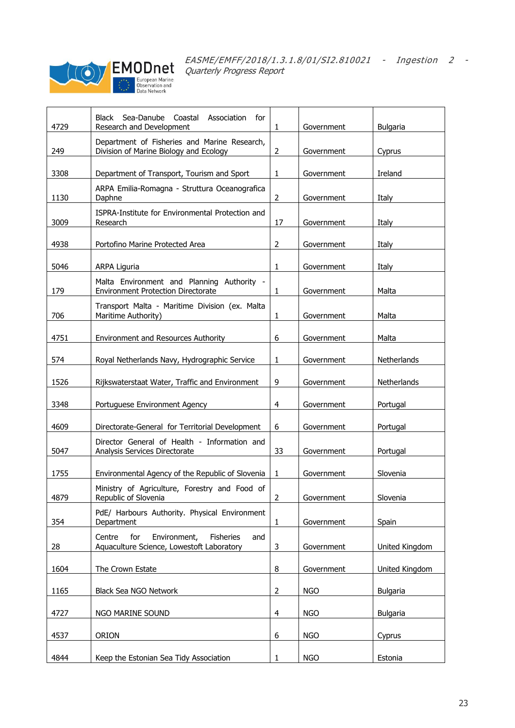

| 4729 | Sea-Danube<br>Coastal<br>Association<br>Black<br>for<br>Research and Development                      | 1                       | Government | <b>Bulgaria</b> |
|------|-------------------------------------------------------------------------------------------------------|-------------------------|------------|-----------------|
| 249  | Department of Fisheries and Marine Research,<br>Division of Marine Biology and Ecology                | $\overline{2}$          | Government | Cyprus          |
| 3308 | Department of Transport, Tourism and Sport                                                            | 1                       | Government | Ireland         |
| 1130 | ARPA Emilia-Romagna - Struttura Oceanografica<br>Daphne                                               | $\overline{2}$          | Government | Italy           |
| 3009 | ISPRA-Institute for Environmental Protection and<br>Research                                          | 17                      | Government | Italy           |
| 4938 | Portofino Marine Protected Area                                                                       | $\overline{2}$          | Government | Italy           |
| 5046 | ARPA Liguria                                                                                          | 1                       | Government | Italy           |
| 179  | Malta Environment and Planning Authority -<br><b>Environment Protection Directorate</b>               | 1                       | Government | Malta           |
| 706  | Transport Malta - Maritime Division (ex. Malta<br>Maritime Authority)                                 | $\mathbf{1}$            | Government | Malta           |
| 4751 | Environment and Resources Authority                                                                   | 6                       | Government | Malta           |
| 574  | Royal Netherlands Navy, Hydrographic Service                                                          | 1                       | Government | Netherlands     |
| 1526 | Rijkswaterstaat Water, Traffic and Environment                                                        | 9                       | Government | Netherlands     |
| 3348 | Portuguese Environment Agency                                                                         | $\overline{\mathbf{4}}$ | Government | Portugal        |
| 4609 | Directorate-General for Territorial Development                                                       | 6                       | Government | Portugal        |
| 5047 | Director General of Health - Information and<br>Analysis Services Directorate                         | 33                      | Government | Portugal        |
| 1755 | Environmental Agency of the Republic of Slovenia                                                      | 1                       | Government | Slovenia        |
| 4879 | Ministry of Agriculture, Forestry and Food of<br>Republic of Slovenia                                 | $\overline{2}$          | Government | Slovenia        |
| 354  | PdE/ Harbours Authority. Physical Environment<br>Department                                           | 1                       | Government | Spain           |
| 28   | Environment,<br><b>Fisheries</b><br>Centre<br>for<br>and<br>Aquaculture Science, Lowestoft Laboratory | 3                       | Government | United Kingdom  |
| 1604 | The Crown Estate                                                                                      | 8                       | Government | United Kingdom  |
| 1165 | Black Sea NGO Network                                                                                 | $\overline{2}$          | <b>NGO</b> | Bulgaria        |
| 4727 | NGO MARINE SOUND                                                                                      | 4                       | <b>NGO</b> | <b>Bulgaria</b> |
| 4537 | ORION                                                                                                 | 6                       | <b>NGO</b> | Cyprus          |
| 4844 | Keep the Estonian Sea Tidy Association                                                                | 1                       | <b>NGO</b> | Estonia         |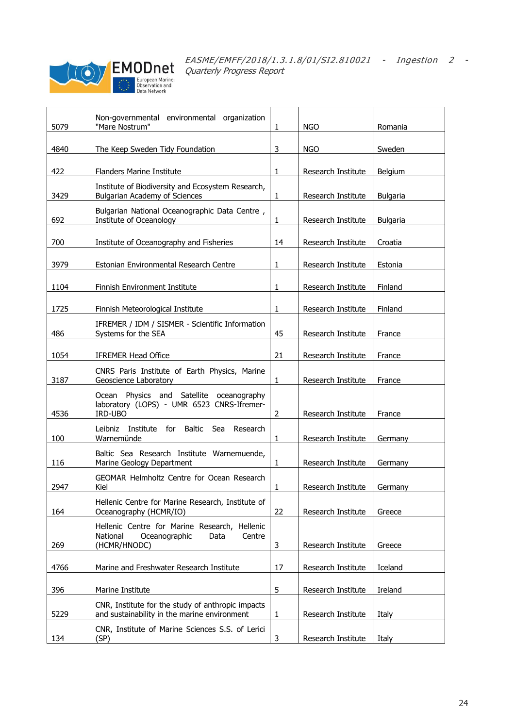

| 5079 | Non-governmental environmental organization<br>"Mare Nostrum"                                     | $\mathbf{1}$ | <b>NGO</b>         | Romania         |
|------|---------------------------------------------------------------------------------------------------|--------------|--------------------|-----------------|
|      |                                                                                                   |              |                    |                 |
| 4840 | The Keep Sweden Tidy Foundation                                                                   | 3            | <b>NGO</b>         | Sweden          |
|      |                                                                                                   |              |                    |                 |
| 422  | <b>Flanders Marine Institute</b>                                                                  | 1            | Research Institute | Belgium         |
|      | Institute of Biodiversity and Ecosystem Research,                                                 |              |                    |                 |
| 3429 | <b>Bulgarian Academy of Sciences</b>                                                              | $\mathbf{1}$ | Research Institute | <b>Bulgaria</b> |
|      | Bulgarian National Oceanographic Data Centre,                                                     |              |                    |                 |
| 692  | Institute of Oceanology                                                                           | $\mathbf{1}$ | Research Institute | <b>Bulgaria</b> |
|      |                                                                                                   |              |                    |                 |
| 700  | Institute of Oceanography and Fisheries                                                           | 14           | Research Institute | Croatia         |
| 3979 | Estonian Environmental Research Centre                                                            | 1            | Research Institute | Estonia         |
|      |                                                                                                   |              |                    |                 |
| 1104 | Finnish Environment Institute                                                                     | $\mathbf{1}$ | Research Institute | Finland         |
|      |                                                                                                   |              |                    |                 |
| 1725 | Finnish Meteorological Institute                                                                  | 1            | Research Institute | Finland         |
|      | IFREMER / IDM / SISMER - Scientific Information                                                   |              |                    |                 |
| 486  | Systems for the SEA                                                                               | 45           | Research Institute | France          |
|      |                                                                                                   |              |                    |                 |
| 1054 | <b>IFREMER Head Office</b>                                                                        | 21           | Research Institute | France          |
|      | CNRS Paris Institute of Earth Physics, Marine                                                     |              |                    |                 |
| 3187 | Geoscience Laboratory                                                                             | $\mathbf{1}$ | Research Institute | France          |
|      | Physics and Satellite oceanography<br>Ocean                                                       |              |                    |                 |
|      | laboratory (LOPS) - UMR 6523 CNRS-Ifremer-                                                        |              |                    |                 |
| 4536 | IRD-UBO                                                                                           | 2            | Research Institute | France          |
|      | Baltic Sea<br>Leibniz Institute for<br>Research                                                   |              |                    |                 |
| 100  | Warnemünde                                                                                        | $\mathbf{1}$ | Research Institute | Germany         |
|      | Baltic Sea Research Institute Warnemuende,                                                        |              |                    |                 |
| 116  | Marine Geology Department                                                                         | 1            | Research Institute | Germany         |
|      | <b>GEOMAR Helmholtz Centre for Ocean Research</b>                                                 |              |                    |                 |
| 2947 | Kiel                                                                                              | 1            | Research Institute | Germany         |
|      | Hellenic Centre for Marine Research, Institute of                                                 |              |                    |                 |
| 164  | Oceanography (HCMR/IO)                                                                            | 22           | Research Institute | Greece          |
|      | Hellenic Centre for Marine Research, Hellenic                                                     |              |                    |                 |
|      | National<br>Oceanographic<br>Centre<br>Data                                                       |              |                    |                 |
| 269  | (HCMR/HNODC)                                                                                      | 3            | Research Institute | Greece          |
|      |                                                                                                   |              |                    |                 |
| 4766 | Marine and Freshwater Research Institute                                                          | 17           | Research Institute | Iceland         |
| 396  | Marine Institute                                                                                  | 5            | Research Institute | Ireland         |
|      |                                                                                                   |              |                    |                 |
| 5229 | CNR, Institute for the study of anthropic impacts<br>and sustainability in the marine environment | $\mathbf{1}$ | Research Institute |                 |
|      |                                                                                                   |              |                    | Italy           |
| 134  | CNR, Institute of Marine Sciences S.S. of Lerici<br>(SP)                                          | 3            | Research Institute | Italy           |
|      |                                                                                                   |              |                    |                 |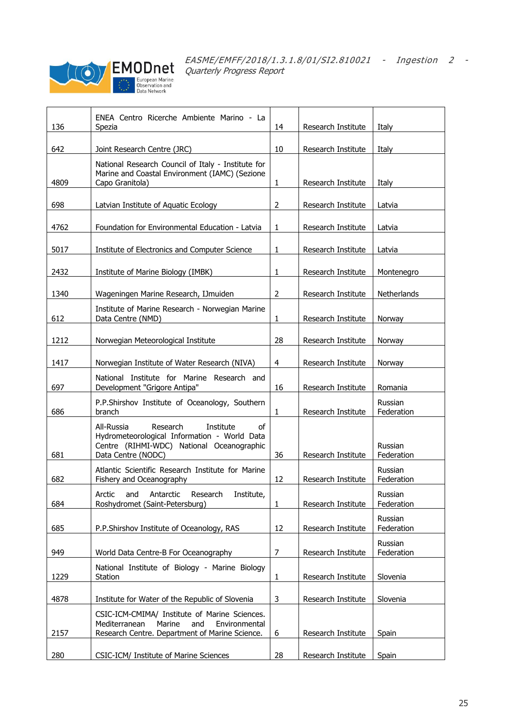

| 136  | ENEA Centro Ricerche Ambiente Marino - La<br>Spezia                                                                                                          | 14             | Research Institute | Italy                 |
|------|--------------------------------------------------------------------------------------------------------------------------------------------------------------|----------------|--------------------|-----------------------|
| 642  | Joint Research Centre (JRC)                                                                                                                                  | 10             | Research Institute | Italy                 |
| 4809 | National Research Council of Italy - Institute for<br>Marine and Coastal Environment (IAMC) (Sezione<br>Capo Granitola)                                      | $\mathbf{1}$   | Research Institute | Italy                 |
| 698  | Latvian Institute of Aquatic Ecology                                                                                                                         | $\overline{2}$ | Research Institute | Latvia                |
| 4762 | Foundation for Environmental Education - Latvia                                                                                                              | 1              | Research Institute | Latvia                |
| 5017 | Institute of Electronics and Computer Science                                                                                                                | $\mathbf{1}$   | Research Institute | Latvia                |
| 2432 | Institute of Marine Biology (IMBK)                                                                                                                           | $\mathbf{1}$   | Research Institute | Montenegro            |
| 1340 | Wageningen Marine Research, IJmuiden                                                                                                                         | $\overline{2}$ | Research Institute | Netherlands           |
| 612  | Institute of Marine Research - Norwegian Marine<br>Data Centre (NMD)                                                                                         | $\mathbf{1}$   | Research Institute | Norway                |
| 1212 | Norwegian Meteorological Institute                                                                                                                           | 28             | Research Institute | Norway                |
| 1417 | Norwegian Institute of Water Research (NIVA)                                                                                                                 | 4              | Research Institute | Norway                |
| 697  | National Institute for Marine Research and<br>Development "Grigore Antipa"                                                                                   | 16             | Research Institute | Romania               |
| 686  | P.P.Shirshov Institute of Oceanology, Southern<br>branch                                                                                                     | $\mathbf{1}$   | Research Institute | Russian<br>Federation |
| 681  | Research<br>All-Russia<br>Institute<br>of<br>Hydrometeorological Information - World Data<br>Centre (RIHMI-WDC) National Oceanographic<br>Data Centre (NODC) | 36             | Research Institute | Russian<br>Federation |
| 682  | Atlantic Scientific Research Institute for Marine<br>Fishery and Oceanography                                                                                | 12             | Research Institute | Russian<br>Federation |
| 684  | Arctic and Antarctic Research Institute,<br>Roshydromet (Saint-Petersburg)                                                                                   | $\mathbf{1}$   | Research Institute | Russian<br>Federation |
| 685  | P.P.Shirshov Institute of Oceanology, RAS                                                                                                                    | 12             | Research Institute | Russian<br>Federation |
| 949  | World Data Centre-B For Oceanography                                                                                                                         | 7              | Research Institute | Russian<br>Federation |
| 1229 | National Institute of Biology - Marine Biology<br>Station                                                                                                    | 1              | Research Institute | Slovenia              |
| 4878 | Institute for Water of the Republic of Slovenia                                                                                                              | 3              | Research Institute | Slovenia              |
| 2157 | CSIC-ICM-CMIMA/ Institute of Marine Sciences.<br>Mediterranean<br>Marine<br>and<br>Environmental<br>Research Centre. Department of Marine Science.           | 6              | Research Institute | Spain                 |
| 280  | CSIC-ICM/ Institute of Marine Sciences                                                                                                                       | 28             | Research Institute | Spain                 |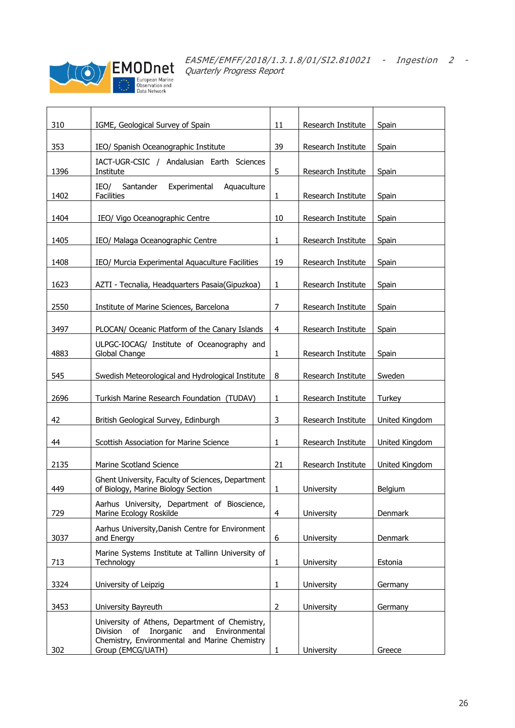

| 310  | IGME, Geological Survey of Spain                                                                                                                                         | 11             | Research Institute | Spain                 |
|------|--------------------------------------------------------------------------------------------------------------------------------------------------------------------------|----------------|--------------------|-----------------------|
| 353  | IEO/ Spanish Oceanographic Institute                                                                                                                                     | 39             | Research Institute | Spain                 |
| 1396 | IACT-UGR-CSIC / Andalusian Earth Sciences<br>Institute                                                                                                                   | 5              | Research Institute | Spain                 |
| 1402 | IEO/<br>Santander<br>Experimental<br>Aquaculture<br><b>Facilities</b>                                                                                                    | 1              | Research Institute | Spain                 |
| 1404 | IEO/ Vigo Oceanographic Centre                                                                                                                                           | 10             | Research Institute | Spain                 |
| 1405 | IEO/ Malaga Oceanographic Centre                                                                                                                                         | $\mathbf{1}$   | Research Institute | Spain                 |
| 1408 | IEO/ Murcia Experimental Aquaculture Facilities                                                                                                                          | 19             | Research Institute | Spain                 |
| 1623 | AZTI - Tecnalia, Headquarters Pasaia(Gipuzkoa)                                                                                                                           | 1              | Research Institute | Spain                 |
| 2550 | Institute of Marine Sciences, Barcelona                                                                                                                                  | 7              | Research Institute | Spain                 |
| 3497 | PLOCAN/ Oceanic Platform of the Canary Islands                                                                                                                           | 4              | Research Institute | Spain                 |
| 4883 | ULPGC-IOCAG/ Institute of Oceanography and<br>Global Change                                                                                                              | 1              | Research Institute | Spain                 |
| 545  | Swedish Meteorological and Hydrological Institute                                                                                                                        | 8              | Research Institute | Sweden                |
| 2696 | Turkish Marine Research Foundation (TUDAV)                                                                                                                               | 1              | Research Institute | Turkey                |
| 42   | British Geological Survey, Edinburgh                                                                                                                                     | 3              | Research Institute | United Kingdom        |
| 44   | Scottish Association for Marine Science                                                                                                                                  | 1              | Research Institute | United Kingdom        |
| 2135 | Marine Scotland Science                                                                                                                                                  | 21             | Research Institute | <b>United Kingdom</b> |
| 449  | Ghent University, Faculty of Sciences, Department<br>of Biology, Marine Biology Section                                                                                  | 1              | University         | Belgium               |
| 729  | Aarhus University, Department of Bioscience,<br>Marine Ecology Roskilde                                                                                                  | $\overline{4}$ | University         | Denmark               |
| 3037 | Aarhus University, Danish Centre for Environment<br>and Energy                                                                                                           | 6              | University         | Denmark               |
| 713  | Marine Systems Institute at Tallinn University of<br>Technology                                                                                                          | $\mathbf{1}$   | University         | Estonia               |
| 3324 | University of Leipzig                                                                                                                                                    | $\mathbf{1}$   | University         | Germany               |
| 3453 | University Bayreuth                                                                                                                                                      | $\overline{2}$ | University         | Germany               |
| 302  | University of Athens, Department of Chemistry,<br>of Inorganic<br>Division<br>and<br>Environmental<br>Chemistry, Environmental and Marine Chemistry<br>Group (EMCG/UATH) | 1              | University         | Greece                |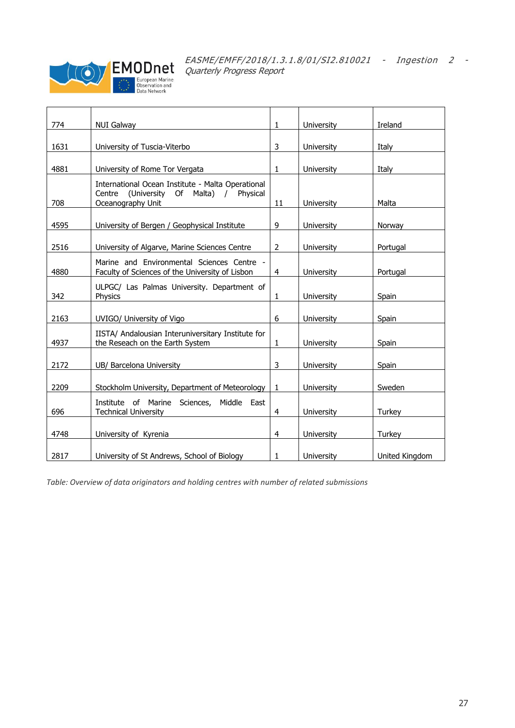

| 774  |                                                                                                              | $\mathbf{1}$   | University        | Ireland        |
|------|--------------------------------------------------------------------------------------------------------------|----------------|-------------------|----------------|
|      | <b>NUI Galway</b>                                                                                            |                |                   |                |
| 1631 | University of Tuscia-Viterbo                                                                                 | 3              | University        | Italy          |
| 4881 |                                                                                                              | $\mathbf{1}$   | University        | Italy          |
|      | University of Rome Tor Vergata                                                                               |                |                   |                |
|      | International Ocean Institute - Malta Operational<br>(University Of Malta)<br>Centre<br>$\prime$<br>Physical |                |                   |                |
| 708  | Oceanography Unit                                                                                            | 11             | University        | Malta          |
| 4595 | University of Bergen / Geophysical Institute                                                                 | 9              | University        | Norway         |
| 2516 | University of Algarve, Marine Sciences Centre                                                                | 2              | University        | Portugal       |
| 4880 | Marine and Environmental Sciences Centre -<br>Faculty of Sciences of the University of Lisbon                | $\overline{4}$ | University        | Portugal       |
| 342  | ULPGC/ Las Palmas University. Department of<br>Physics                                                       | 1              | University        | Spain          |
| 2163 | UVIGO/ University of Vigo                                                                                    | 6              | University        | Spain          |
| 4937 | IISTA/ Andalousian Interuniversitary Institute for<br>the Reseach on the Earth System                        | 1              | University        | Spain          |
| 2172 | UB/ Barcelona University                                                                                     | 3              | University        | Spain          |
| 2209 | Stockholm University, Department of Meteorology                                                              | $\mathbf{1}$   | <b>University</b> | Sweden         |
| 696  | Institute of Marine<br>Sciences, Middle East<br><b>Technical University</b>                                  | $\overline{4}$ | University        | Turkey         |
| 4748 | University of Kyrenia                                                                                        | $\overline{4}$ | University        | Turkey         |
| 2817 | University of St Andrews, School of Biology                                                                  | 1              | University        | United Kingdom |

*Table: Overview of data originators and holding centres with number of related submissions*